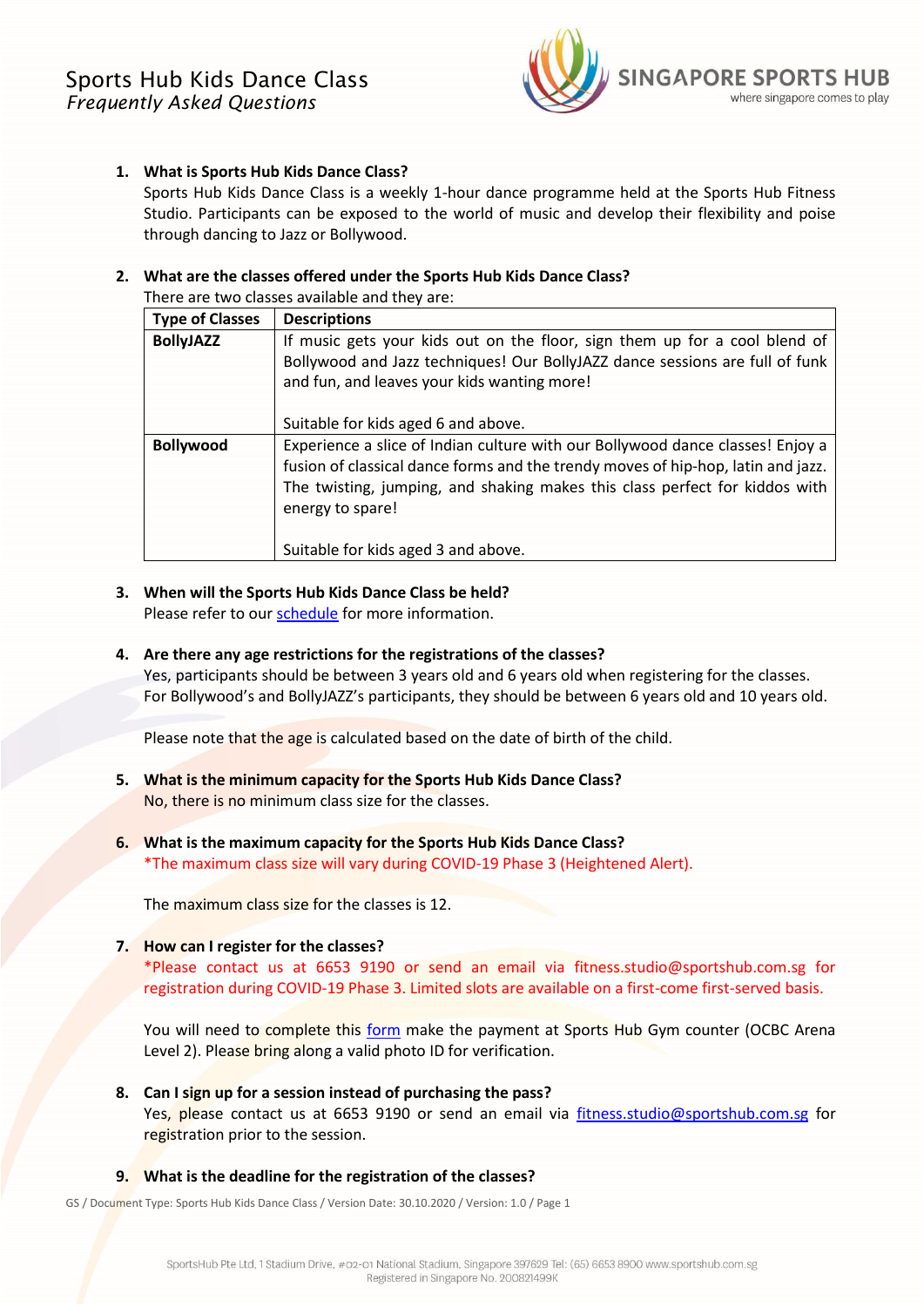

# **1. What is Sports Hub Kids Dance Class?**

Sports Hub Kids Dance Class is a weekly 1-hour dance programme held at the Sports Hub Fitness Studio. Participants can be exposed to the world of music and develop their flexibility and poise through dancing to Jazz or Bollywood.

# **2. What are the classes offered under the Sports Hub Kids Dance Class?**

There are two classes available and they are:

| <b>Type of Classes</b> | <b>Descriptions</b>                                                              |
|------------------------|----------------------------------------------------------------------------------|
| <b>BollyJAZZ</b>       | If music gets your kids out on the floor, sign them up for a cool blend of       |
|                        | Bollywood and Jazz techniques! Our BollyJAZZ dance sessions are full of funk     |
|                        | and fun, and leaves your kids wanting more!                                      |
|                        |                                                                                  |
|                        | Suitable for kids aged 6 and above.                                              |
| <b>Bollywood</b>       | Experience a slice of Indian culture with our Bollywood dance classes! Enjoy a   |
|                        | fusion of classical dance forms and the trendy moves of hip-hop, latin and jazz. |
|                        | The twisting, jumping, and shaking makes this class perfect for kiddos with      |
|                        | energy to spare!                                                                 |
|                        |                                                                                  |
|                        | Suitable for kids aged 3 and above.                                              |

- **3. When will the Sports Hub Kids Dance Class be held?**  Please refer to our **schedule** for more information.
- **4. Are there any age restrictions for the registrations of the classes?** Yes, participants should be between 3 years old and 6 years old when registering for the classes. For Bollywood's and BollyJAZZ's participants, they should be between 6 years old and 10 years old.

Please note that the age is calculated based on the date of birth of the child.

- **5. What is the minimum capacity for the Sports Hub Kids Dance Class?** No, there is no minimum class size for the classes.
- **6. What is the maximum capacity for the Sports Hub Kids Dance Class?** \*The maximum class size will vary during COVID-19 Phase 3 (Heightened Alert).

The maximum class size for the classes is 12.

**7. How can I register for the classes?**

\*Please contact us at 6653 9190 or send an email via fitness.studio@sportshub.com.sg for registration during COVID-19 Phase 3. Limited slots are available on a first-come first-served basis.

You will need to complete this [form](https://mediabank.sportshub.com.sg/documents/July+2018+Gym+Membership++Fitness+Classes+Form+(for+SportsHub+Gym+and+Dance+Studio).pdf) make the payment at Sports Hub Gym counter (OCBC Arena Level 2). Please bring along a valid photo ID for verification.

- **8. Can I sign up for a session instead of purchasing the pass?** Yes, please contact us at 6653 9190 or send an email via [fitness.studio@sportshub.com.sg](mailto:fitness.studio@sportshub.com.sg) for registration prior to the session.
- **9. What is the deadline for the registration of the classes?**

GS / Document Type: Sports Hub Kids Dance Class / Version Date: 30.10.2020 / Version: 1.0 / Page 1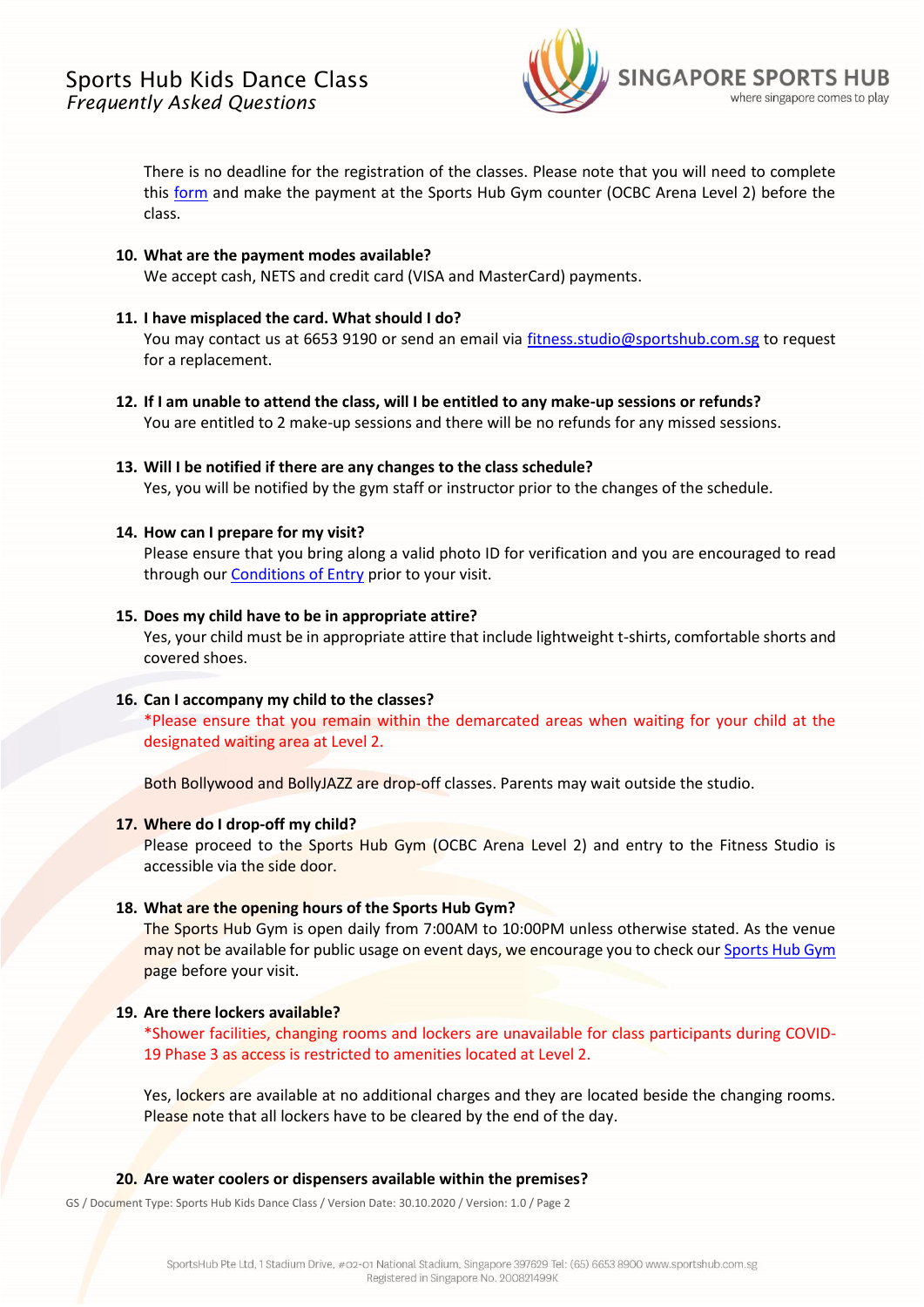

There is no deadline for the registration of the classes. Please note that you will need to complete this [form](https://mediabank.sportshub.com.sg/documents/July+2018+Gym+Membership++Fitness+Classes+Form+(for+SportsHub+Gym+and+Dance+Studio).pdf) and make the payment at the Sports Hub Gym counter (OCBC Arena Level 2) before the class.

## **10. What are the payment modes available?**

We accept cash, NETS and credit card (VISA and MasterCard) payments.

## **11. I have misplaced the card. What should I do?**

You may contact us at 6653 9190 or send an email via [fitness.studio@sportshub.com.sg](mailto:fitness.studio@sportshub.com.sg) to request for a replacement.

**12. If I am unable to attend the class, will I be entitled to any make-up sessions or refunds?**  You are entitled to 2 make-up sessions and there will be no refunds for any missed sessions.

# **13. Will I be notified if there are any changes to the class schedule?**

Yes, you will be notified by the gym staff or instructor prior to the changes of the schedule.

## **14. How can I prepare for my visit?**

Please ensure that you bring along a valid photo ID for verification and you are encouraged to read through our **Conditions of Entry** prior to your visit.

## **15. Does my child have to be in appropriate attire?**

Yes, your child must be in appropriate attire that include lightweight t-shirts, comfortable shorts and covered shoes.

## **16. Can I accompany my child to the classes?**

\*Please ensure that you remain within the demarcated areas when waiting for your child at the designated waiting area at Level 2.

Both Bollywood and BollyJAZZ are drop-off classes. Parents may wait outside the studio.

## **17. Where do I drop-off my child?**

Please proceed to the Sports Hub Gym (OCBC Arena Level 2) and entry to the Fitness Studio is accessible via the side door.

#### **18. What are the opening hours of the Sports Hub Gym?**

The Sports Hub Gym is open daily from 7:00AM to 10:00PM unless otherwise stated. As the venue may not be available for public usage on event days, we encourage you to check ou[r Sports Hub Gym](https://www.sportshub.com.sg/gym) page before your visit.

#### **19. Are there lockers available?**

\*Shower facilities, changing rooms and lockers are unavailable for class participants during COVID-19 Phase 3 as access is restricted to amenities located at Level 2.

Yes, lockers are available at no additional charges and they are located beside the changing rooms. Please note that all lockers have to be cleared by the end of the day.

#### **20. Are water coolers or dispensers available within the premises?**

GS / Document Type: Sports Hub Kids Dance Class / Version Date: 30.10.2020 / Version: 1.0 / Page 2